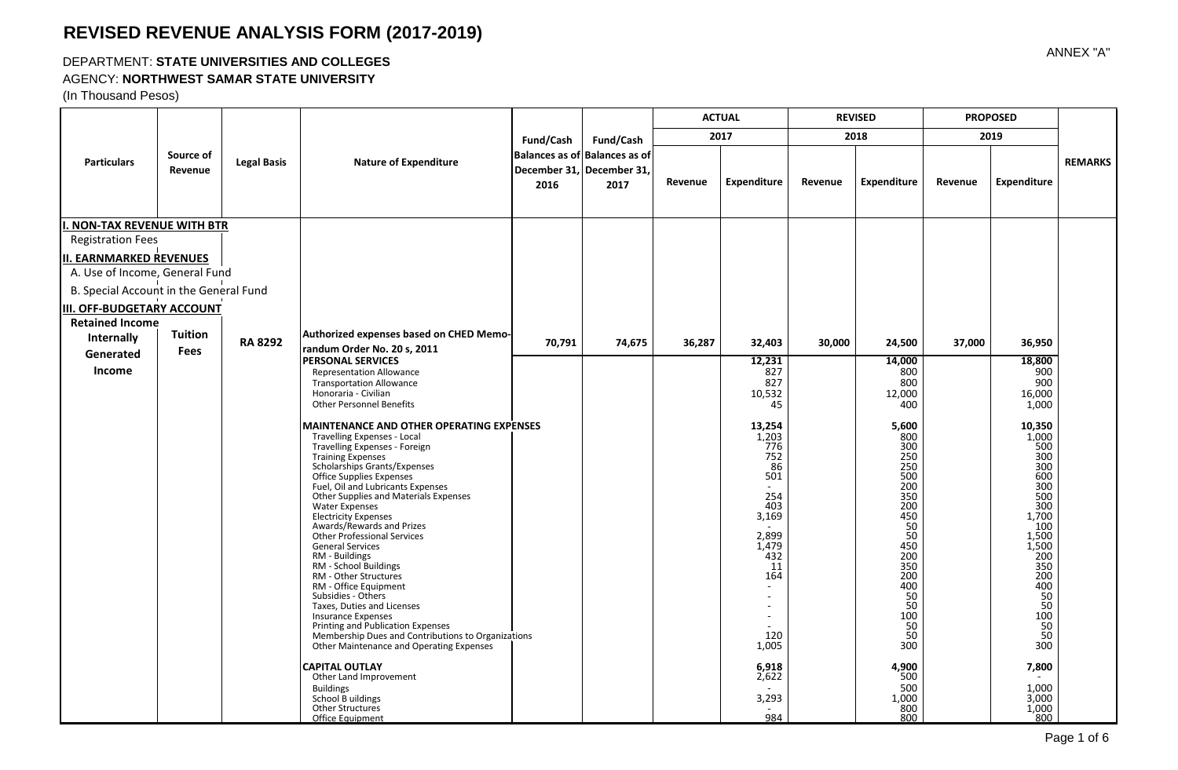#### DEPARTMENT: **STATE UNIVERSITIES AND COLLEGES**

#### AGENCY: **NORTHWEST SAMAR STATE UNIVERSITY**

(In Thousand Pesos)

|                                        |                      |                    |                                                                                                                                                                                                                                                                                                                                                                                                                                                                                                                                                                                                                                                                                                                                                                         |           |                                                                    | <b>ACTUAL</b> |                                                                                                                                                                                   | <b>REVISED</b> |                                                                                                                                                                               | <b>PROPOSED</b> |                                                                                                                                                                            |                |
|----------------------------------------|----------------------|--------------------|-------------------------------------------------------------------------------------------------------------------------------------------------------------------------------------------------------------------------------------------------------------------------------------------------------------------------------------------------------------------------------------------------------------------------------------------------------------------------------------------------------------------------------------------------------------------------------------------------------------------------------------------------------------------------------------------------------------------------------------------------------------------------|-----------|--------------------------------------------------------------------|---------------|-----------------------------------------------------------------------------------------------------------------------------------------------------------------------------------|----------------|-------------------------------------------------------------------------------------------------------------------------------------------------------------------------------|-----------------|----------------------------------------------------------------------------------------------------------------------------------------------------------------------------|----------------|
|                                        |                      |                    |                                                                                                                                                                                                                                                                                                                                                                                                                                                                                                                                                                                                                                                                                                                                                                         | Fund/Cash | Fund/Cash                                                          |               | 2017                                                                                                                                                                              |                | 2018                                                                                                                                                                          |                 | 2019                                                                                                                                                                       |                |
| <b>Particulars</b>                     | Source of<br>Revenue | <b>Legal Basis</b> | <b>Nature of Expenditure</b>                                                                                                                                                                                                                                                                                                                                                                                                                                                                                                                                                                                                                                                                                                                                            | 2016      | Balances as of Balances as of<br>December 31, December 31,<br>2017 | Revenue       | <b>Expenditure</b>                                                                                                                                                                | Revenue        | <b>Expenditure</b>                                                                                                                                                            | Revenue         | <b>Expenditure</b>                                                                                                                                                         | <b>REMARKS</b> |
| <b>I. NON-TAX REVENUE WITH BTR</b>     |                      |                    |                                                                                                                                                                                                                                                                                                                                                                                                                                                                                                                                                                                                                                                                                                                                                                         |           |                                                                    |               |                                                                                                                                                                                   |                |                                                                                                                                                                               |                 |                                                                                                                                                                            |                |
| <b>Registration Fees</b>               |                      |                    |                                                                                                                                                                                                                                                                                                                                                                                                                                                                                                                                                                                                                                                                                                                                                                         |           |                                                                    |               |                                                                                                                                                                                   |                |                                                                                                                                                                               |                 |                                                                                                                                                                            |                |
| <b>II. EARNMARKED REVENUES</b>         |                      |                    |                                                                                                                                                                                                                                                                                                                                                                                                                                                                                                                                                                                                                                                                                                                                                                         |           |                                                                    |               |                                                                                                                                                                                   |                |                                                                                                                                                                               |                 |                                                                                                                                                                            |                |
| A. Use of Income, General Fund         |                      |                    |                                                                                                                                                                                                                                                                                                                                                                                                                                                                                                                                                                                                                                                                                                                                                                         |           |                                                                    |               |                                                                                                                                                                                   |                |                                                                                                                                                                               |                 |                                                                                                                                                                            |                |
| B. Special Account in the General Fund |                      |                    |                                                                                                                                                                                                                                                                                                                                                                                                                                                                                                                                                                                                                                                                                                                                                                         |           |                                                                    |               |                                                                                                                                                                                   |                |                                                                                                                                                                               |                 |                                                                                                                                                                            |                |
| <b>III. OFF-BUDGETARY ACCOUNT</b>      |                      |                    |                                                                                                                                                                                                                                                                                                                                                                                                                                                                                                                                                                                                                                                                                                                                                                         |           |                                                                    |               |                                                                                                                                                                                   |                |                                                                                                                                                                               |                 |                                                                                                                                                                            |                |
| <b>Retained Income</b>                 |                      |                    |                                                                                                                                                                                                                                                                                                                                                                                                                                                                                                                                                                                                                                                                                                                                                                         |           |                                                                    |               |                                                                                                                                                                                   |                |                                                                                                                                                                               |                 |                                                                                                                                                                            |                |
| Internally                             | <b>Tuition</b>       | <b>RA 8292</b>     | Authorized expenses based on CHED Memo-<br>randum Order No. 20 s, 2011                                                                                                                                                                                                                                                                                                                                                                                                                                                                                                                                                                                                                                                                                                  | 70,791    | 74,675                                                             | 36,287        | 32,403                                                                                                                                                                            | 30,000         | 24,500                                                                                                                                                                        | 37,000          | 36,950                                                                                                                                                                     |                |
| Generated                              | <b>Fees</b>          |                    | <b>PERSONAL SERVICES</b>                                                                                                                                                                                                                                                                                                                                                                                                                                                                                                                                                                                                                                                                                                                                                |           |                                                                    |               | 12,231                                                                                                                                                                            |                | 14,000                                                                                                                                                                        |                 | 18,800                                                                                                                                                                     |                |
| <b>Income</b>                          |                      |                    | <b>Representation Allowance</b><br><b>Transportation Allowance</b>                                                                                                                                                                                                                                                                                                                                                                                                                                                                                                                                                                                                                                                                                                      |           |                                                                    |               | 827<br>827                                                                                                                                                                        |                | 800<br>800                                                                                                                                                                    |                 | 900<br>900                                                                                                                                                                 |                |
|                                        |                      |                    | Honoraria - Civilian                                                                                                                                                                                                                                                                                                                                                                                                                                                                                                                                                                                                                                                                                                                                                    |           |                                                                    |               | 10,532                                                                                                                                                                            |                | 12,000                                                                                                                                                                        |                 | 16,000                                                                                                                                                                     |                |
|                                        |                      |                    | <b>Other Personnel Benefits</b>                                                                                                                                                                                                                                                                                                                                                                                                                                                                                                                                                                                                                                                                                                                                         |           |                                                                    |               | 45                                                                                                                                                                                |                | 400                                                                                                                                                                           |                 | 1,000                                                                                                                                                                      |                |
|                                        |                      |                    | <b>MAINTENANCE AND OTHER OPERATING EXPENSES</b><br><b>Travelling Expenses - Local</b><br>Travelling Expenses - Foreign<br><b>Training Expenses</b><br>Scholarships Grants/Expenses<br>Office Supplies Expenses<br>Fuel, Oil and Lubricants Expenses<br>Other Supplies and Materials Expenses<br><b>Water Expenses</b><br><b>Electricity Expenses</b><br>Awards/Rewards and Prizes<br><b>Other Professional Services</b><br><b>General Services</b><br>RM - Buildings<br>RM - School Buildings<br>RM - Other Structures<br>RM - Office Equipment<br>Subsidies - Others<br>Taxes, Duties and Licenses<br><b>Insurance Expenses</b><br>Printing and Publication Expenses<br>Membership Dues and Contributions to Organizations<br>Other Maintenance and Operating Expenses |           |                                                                    |               | 13,254<br>1,203<br>776<br>752<br>86<br>501<br>254<br>403<br>3,169<br>2,899<br>1,479<br>432<br>11<br>164<br>$\sim$<br>$\sim$<br>$\blacksquare$<br>$\sim$<br>$\sim$<br>120<br>1,005 |                | 5,600<br>800<br>300<br>$\frac{250}{250}$<br>500<br>200<br>350<br>200<br>450<br>50<br>50<br>450<br>200<br>350<br>200<br>400<br>$\overline{50}$<br>50<br>100<br>50<br>50<br>300 |                 | 10,350<br>1,000<br>500<br>$\frac{300}{300}$<br>600<br>300<br>500<br>300<br>1,700<br>100<br>1,500<br>1,500<br>200<br>350<br>200<br>400<br>50<br>50<br>50<br>50<br>50<br>300 |                |
|                                        |                      |                    | <b>CAPITAL OUTLAY</b><br>Other Land Improvement<br><b>Buildings</b><br>School B uildings<br><b>Other Structures</b><br><b>Office Equipment</b>                                                                                                                                                                                                                                                                                                                                                                                                                                                                                                                                                                                                                          |           |                                                                    |               | 6,918<br>2,622<br>3,293<br>984                                                                                                                                                    |                | 4,900<br>500<br>500<br>1,000<br>800<br>800                                                                                                                                    |                 | 7,800<br>1,000<br>3,000<br>1,000<br>800                                                                                                                                    |                |

ANNEX "A"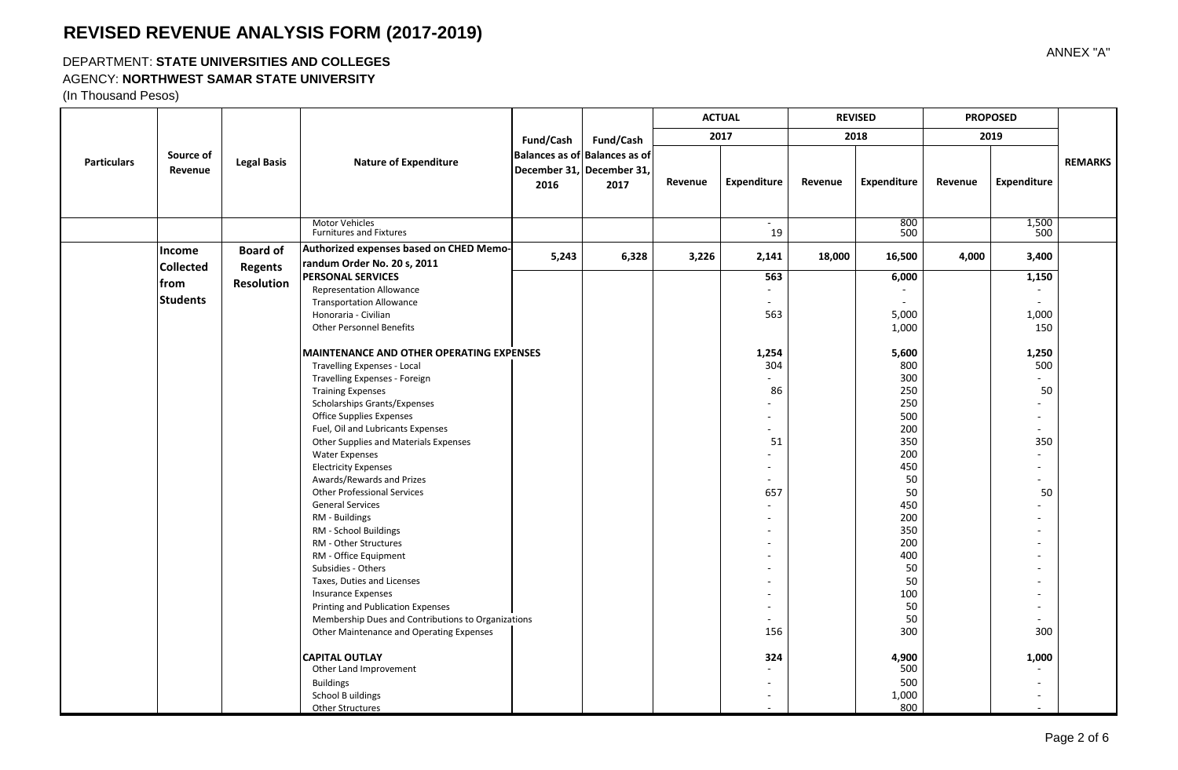### DEPARTMENT: **STATE UNIVERSITIES AND COLLEGES**

#### AGENCY: **NORTHWEST SAMAR STATE UNIVERSITY**

|                    |                                                               | <b>Legal Basis</b>                              | <b>Nature of Expenditure</b>                                                                                                                                                                                                                                                                                                                                                                                                                                                                                                                                                                                                                                                                                                         |           | Fund/Cash<br>Balances as of Balances as of<br>December 31, December 31,<br>2017 | <b>ACTUAL</b><br>2017 |                                                                                                                              | <b>REVISED</b> |                                                                                                                                            | <b>PROPOSED</b> |                                                                                                                           |                |
|--------------------|---------------------------------------------------------------|-------------------------------------------------|--------------------------------------------------------------------------------------------------------------------------------------------------------------------------------------------------------------------------------------------------------------------------------------------------------------------------------------------------------------------------------------------------------------------------------------------------------------------------------------------------------------------------------------------------------------------------------------------------------------------------------------------------------------------------------------------------------------------------------------|-----------|---------------------------------------------------------------------------------|-----------------------|------------------------------------------------------------------------------------------------------------------------------|----------------|--------------------------------------------------------------------------------------------------------------------------------------------|-----------------|---------------------------------------------------------------------------------------------------------------------------|----------------|
|                    |                                                               |                                                 |                                                                                                                                                                                                                                                                                                                                                                                                                                                                                                                                                                                                                                                                                                                                      | Fund/Cash |                                                                                 |                       |                                                                                                                              | 2018           |                                                                                                                                            | 2019            |                                                                                                                           |                |
| <b>Particulars</b> | Source of<br>Revenue                                          |                                                 |                                                                                                                                                                                                                                                                                                                                                                                                                                                                                                                                                                                                                                                                                                                                      | 2016      |                                                                                 | Revenue               | Expenditure                                                                                                                  | Revenue        | <b>Expenditure</b>                                                                                                                         | Revenue         | Expenditure                                                                                                               | <b>REMARKS</b> |
|                    |                                                               |                                                 | <b>Motor Vehicles</b><br><b>Furnitures and Fixtures</b>                                                                                                                                                                                                                                                                                                                                                                                                                                                                                                                                                                                                                                                                              |           |                                                                                 |                       | 19                                                                                                                           |                | 800<br>500                                                                                                                                 |                 | 1,500<br>500                                                                                                              |                |
|                    | <b>Income</b><br><b>Collected</b><br>lfrom<br><b>Students</b> | <b>Board of</b><br><b>Regents</b><br>Resolution | Authorized expenses based on CHED Memo-<br>randum Order No. 20 s, 2011<br><b>PERSONAL SERVICES</b><br><b>Representation Allowance</b><br><b>Transportation Allowance</b><br>Honoraria - Civilian<br><b>Other Personnel Benefits</b><br><b>MAINTENANCE AND OTHER OPERATING EXPENSES</b><br>Travelling Expenses - Local<br>Travelling Expenses - Foreign<br><b>Training Expenses</b><br>Scholarships Grants/Expenses<br><b>Office Supplies Expenses</b><br>Fuel, Oil and Lubricants Expenses<br>Other Supplies and Materials Expenses<br><b>Water Expenses</b><br><b>Electricity Expenses</b><br>Awards/Rewards and Prizes<br><b>Other Professional Services</b><br><b>General Services</b><br>RM - Buildings<br>RM - School Buildings | 5,243     | 6,328                                                                           | 3,226                 | 2,141<br>563<br>$\sim$<br>$\sim$<br>563<br>1,254<br>304<br>86<br>٠<br>$\sim$<br>$\sim$<br>51<br>$\sim$<br>٠<br>657<br>$\sim$ | 18,000         | 16,500<br>6,000<br>5,000<br>1,000<br>5,600<br>800<br>300<br>250<br>250<br>500<br>200<br>350<br>200<br>450<br>50<br>50<br>450<br>200<br>350 | 4,000           | 3,400<br>1,150<br>$\sim$<br>1,000<br>150<br>1,250<br>500<br>$\sim$<br>50<br>$\sim$<br>$\sim$<br>350<br>÷.<br>$\sim$<br>50 |                |
|                    |                                                               |                                                 | RM - Other Structures<br>RM - Office Equipment<br>Subsidies - Others<br>Taxes, Duties and Licenses<br><b>Insurance Expenses</b><br>Printing and Publication Expenses<br>Membership Dues and Contributions to Organizations<br>Other Maintenance and Operating Expenses<br><b>CAPITAL OUTLAY</b><br>Other Land Improvement<br><b>Buildings</b><br>School B uildings<br><b>Other Structures</b>                                                                                                                                                                                                                                                                                                                                        |           |                                                                                 |                       | $\blacksquare$<br>٠<br>156<br>324                                                                                            |                | 200<br>400<br>50<br>50<br>100<br>50<br>50<br>300<br>4,900<br>500<br>500<br>1,000<br>800                                                    |                 | $\sim$<br>300<br>1,000                                                                                                    |                |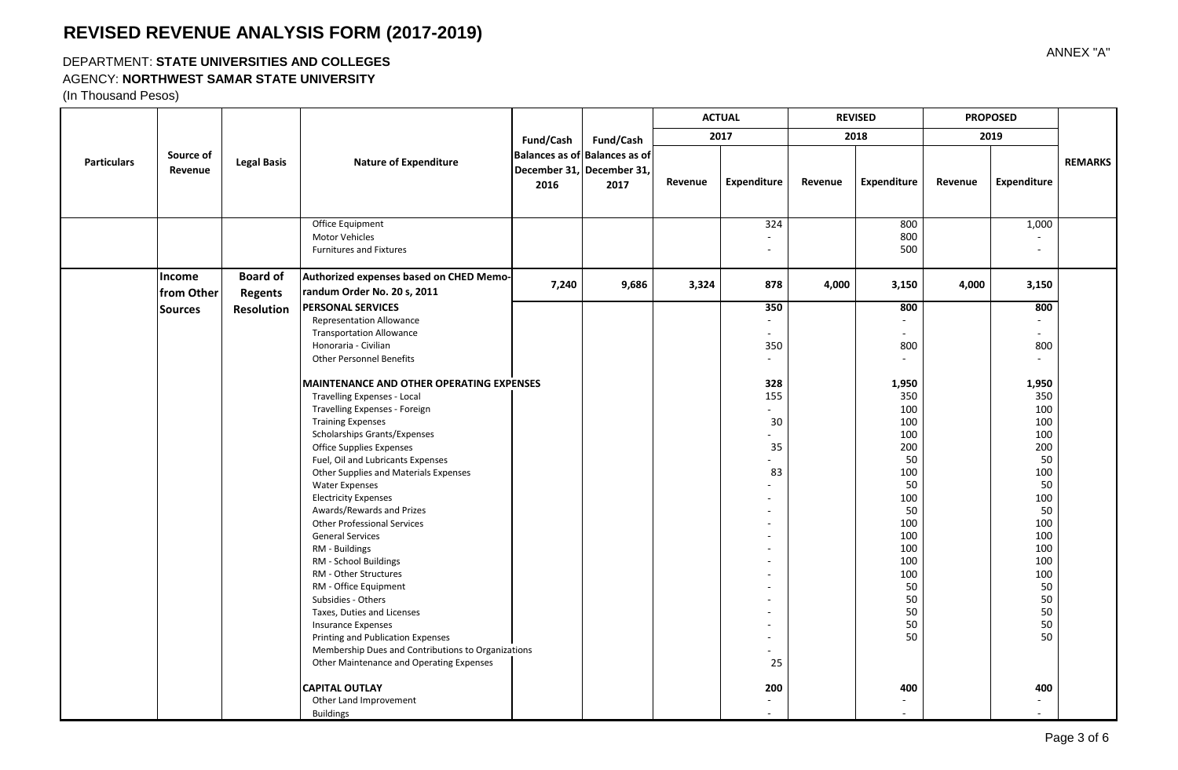### DEPARTMENT: **STATE UNIVERSITIES AND COLLEGES**

### AGENCY: **NORTHWEST SAMAR STATE UNIVERSITY**

|                    |                             | <b>Legal Basis</b>                | <b>Nature of Expenditure</b>                                                                                                                                                                                                                                                                                                                                                                                                                                                                                                                                                                                                                                                                                                                                                                                                                                                                                                         | Fund/Cash<br>2016 | Fund/Cash<br>Balances as of Balances as of<br>December 31, December 31,<br>2017 | <b>ACTUAL</b><br>2017 |                                                                                                                                                | <b>REVISED</b> |                                                                                                                                                                   | <b>PROPOSED</b> |                                                                                                                                                                         |                |
|--------------------|-----------------------------|-----------------------------------|--------------------------------------------------------------------------------------------------------------------------------------------------------------------------------------------------------------------------------------------------------------------------------------------------------------------------------------------------------------------------------------------------------------------------------------------------------------------------------------------------------------------------------------------------------------------------------------------------------------------------------------------------------------------------------------------------------------------------------------------------------------------------------------------------------------------------------------------------------------------------------------------------------------------------------------|-------------------|---------------------------------------------------------------------------------|-----------------------|------------------------------------------------------------------------------------------------------------------------------------------------|----------------|-------------------------------------------------------------------------------------------------------------------------------------------------------------------|-----------------|-------------------------------------------------------------------------------------------------------------------------------------------------------------------------|----------------|
| <b>Particulars</b> |                             |                                   |                                                                                                                                                                                                                                                                                                                                                                                                                                                                                                                                                                                                                                                                                                                                                                                                                                                                                                                                      |                   |                                                                                 |                       |                                                                                                                                                | 2018           |                                                                                                                                                                   | 2019            |                                                                                                                                                                         |                |
|                    | Source of<br>Revenue        |                                   |                                                                                                                                                                                                                                                                                                                                                                                                                                                                                                                                                                                                                                                                                                                                                                                                                                                                                                                                      |                   |                                                                                 | Revenue               | Expenditure                                                                                                                                    | Revenue        | <b>Expenditure</b>                                                                                                                                                | Revenue         | Expenditure                                                                                                                                                             | <b>REMARKS</b> |
|                    |                             |                                   | Office Equipment<br><b>Motor Vehicles</b><br><b>Furnitures and Fixtures</b>                                                                                                                                                                                                                                                                                                                                                                                                                                                                                                                                                                                                                                                                                                                                                                                                                                                          |                   |                                                                                 |                       | 324<br>$\sim$<br>$\sim$                                                                                                                        |                | 800<br>800<br>500                                                                                                                                                 |                 | 1,000<br>$\sim$                                                                                                                                                         |                |
|                    | <b>Income</b><br>from Other | <b>Board of</b><br><b>Regents</b> | Authorized expenses based on CHED Memo-<br>randum Order No. 20 s, 2011                                                                                                                                                                                                                                                                                                                                                                                                                                                                                                                                                                                                                                                                                                                                                                                                                                                               | 7,240             | 9,686                                                                           | 3,324                 | 878                                                                                                                                            | 4,000          | 3,150                                                                                                                                                             | 4,000           | 3,150                                                                                                                                                                   |                |
|                    | <b>Sources</b>              | <b>Resolution</b>                 | <b>PERSONAL SERVICES</b><br><b>Representation Allowance</b><br><b>Transportation Allowance</b><br>Honoraria - Civilian<br><b>Other Personnel Benefits</b><br><b>MAINTENANCE AND OTHER OPERATING EXPENSES</b><br><b>Travelling Expenses - Local</b><br>Travelling Expenses - Foreign<br><b>Training Expenses</b><br>Scholarships Grants/Expenses<br>Office Supplies Expenses<br>Fuel, Oil and Lubricants Expenses<br>Other Supplies and Materials Expenses<br><b>Water Expenses</b><br><b>Electricity Expenses</b><br>Awards/Rewards and Prizes<br><b>Other Professional Services</b><br><b>General Services</b><br>RM - Buildings<br>RM - School Buildings<br>RM - Other Structures<br>RM - Office Equipment<br>Subsidies - Others<br>Taxes, Duties and Licenses<br><b>Insurance Expenses</b><br>Printing and Publication Expenses<br>Membership Dues and Contributions to Organizations<br>Other Maintenance and Operating Expenses |                   |                                                                                 |                       | 350<br>$\sim$<br>$\sim$<br>350<br>$\sim$<br>328<br>155<br>÷.<br>30<br>35<br>83<br>$\sim$<br>$\sim$<br>$\overline{\phantom{a}}$<br>$\sim$<br>25 |                | 800<br>$\sim$<br>800<br>1,950<br>350<br>100<br>100<br>100<br>200<br>50<br>100<br>50<br>100<br>50<br>100<br>100<br>100<br>100<br>100<br>50<br>50<br>50<br>50<br>50 |                 | 800<br>÷.<br>800<br>$\sim$<br>1,950<br>350<br>100<br>100<br>100<br>200<br>50<br>100<br>50<br>100<br>50<br>100<br>100<br>100<br>100<br>100<br>50<br>50<br>50<br>50<br>50 |                |
|                    |                             |                                   | <b>CAPITAL OUTLAY</b><br>Other Land Improvement<br><b>Buildings</b>                                                                                                                                                                                                                                                                                                                                                                                                                                                                                                                                                                                                                                                                                                                                                                                                                                                                  |                   |                                                                                 |                       | 200<br>$\sim$                                                                                                                                  |                | 400                                                                                                                                                               |                 | 400                                                                                                                                                                     |                |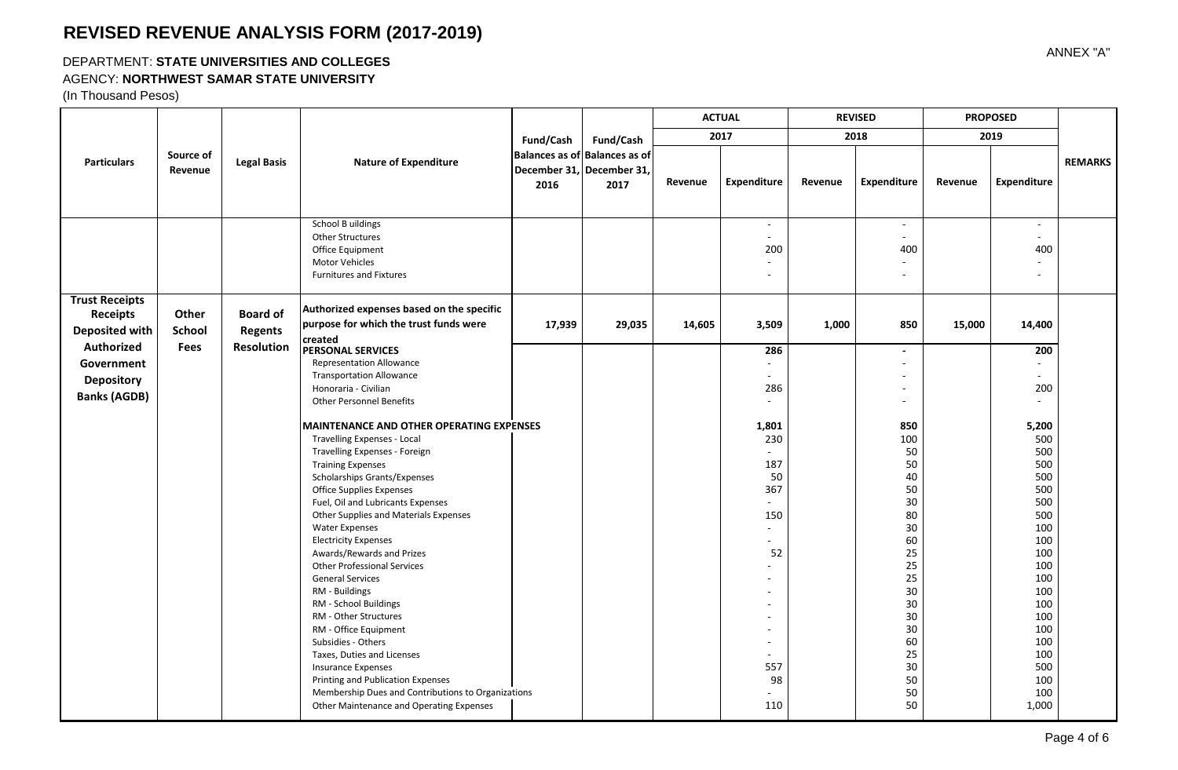### DEPARTMENT: **STATE UNIVERSITIES AND COLLEGES**

### AGENCY: **NORTHWEST SAMAR STATE UNIVERSITY**

|                                                                                 |                                                                                                                                                           |                                                        |                                                                                                                                                                                                                                                                                                                                                                                                                                                                                                                                                                                                                                                                                                                                                                         |           |                                                                                 | <b>ACTUAL</b><br>2017 |                                                                                                                                                                                                                                                                                             | <b>REVISED</b> |                                                                                                                                          | <b>PROPOSED</b> |                                                                                                                                                                   |                |
|---------------------------------------------------------------------------------|-----------------------------------------------------------------------------------------------------------------------------------------------------------|--------------------------------------------------------|-------------------------------------------------------------------------------------------------------------------------------------------------------------------------------------------------------------------------------------------------------------------------------------------------------------------------------------------------------------------------------------------------------------------------------------------------------------------------------------------------------------------------------------------------------------------------------------------------------------------------------------------------------------------------------------------------------------------------------------------------------------------------|-----------|---------------------------------------------------------------------------------|-----------------------|---------------------------------------------------------------------------------------------------------------------------------------------------------------------------------------------------------------------------------------------------------------------------------------------|----------------|------------------------------------------------------------------------------------------------------------------------------------------|-----------------|-------------------------------------------------------------------------------------------------------------------------------------------------------------------|----------------|
|                                                                                 |                                                                                                                                                           |                                                        |                                                                                                                                                                                                                                                                                                                                                                                                                                                                                                                                                                                                                                                                                                                                                                         | Fund/Cash | Fund/Cash<br>Balances as of Balances as of<br>December 31, December 31,<br>2017 |                       |                                                                                                                                                                                                                                                                                             |                | 2018                                                                                                                                     |                 | 2019                                                                                                                                                              |                |
| <b>Particulars</b>                                                              | Source of<br>Revenue                                                                                                                                      | <b>Legal Basis</b>                                     | <b>Nature of Expenditure</b>                                                                                                                                                                                                                                                                                                                                                                                                                                                                                                                                                                                                                                                                                                                                            | 2016      |                                                                                 | Revenue               | <b>Expenditure</b>                                                                                                                                                                                                                                                                          | Revenue        | Expenditure                                                                                                                              | Revenue         | Expenditure                                                                                                                                                       | <b>REMARKS</b> |
|                                                                                 |                                                                                                                                                           |                                                        | <b>School B uildings</b><br>Other Structures<br>Office Equipment<br>Motor Vehicles<br><b>Furnitures and Fixtures</b>                                                                                                                                                                                                                                                                                                                                                                                                                                                                                                                                                                                                                                                    |           |                                                                                 |                       | $\sim$<br>$\omega$<br>200<br>$\sim$<br>$\blacksquare$                                                                                                                                                                                                                                       |                | $\blacksquare$<br>$\overline{a}$<br>400<br>٠<br>٠                                                                                        |                 | $\sim$<br>$\sim$<br>400<br>$\sim$<br>$\sim$                                                                                                                       |                |
| <b>Trust Receipts</b><br><b>Receipts</b><br><b>Deposited with</b><br>Authorized | Other<br>School<br>Fees                                                                                                                                   | <b>Board of</b><br><b>Regents</b><br><b>Resolution</b> | Authorized expenses based on the specific<br>purpose for which the trust funds were<br>created                                                                                                                                                                                                                                                                                                                                                                                                                                                                                                                                                                                                                                                                          | 17,939    | 29,035                                                                          | 14,605                | 3,509                                                                                                                                                                                                                                                                                       | 1,000          | 850                                                                                                                                      | 15,000          | 14,400                                                                                                                                                            |                |
| Government<br><b>Depository</b><br><b>Banks (AGDB)</b>                          | <b>PERSONAL SERVICES</b><br><b>Representation Allowance</b><br><b>Transportation Allowance</b><br>Honoraria - Civilian<br><b>Other Personnel Benefits</b> |                                                        |                                                                                                                                                                                                                                                                                                                                                                                                                                                                                                                                                                                                                                                                                                                                                                         |           | 286<br>$\sim$<br>$\sim$<br>286<br>$\blacksquare$                                |                       | $\overline{\phantom{a}}$<br>٠<br>$\overline{\phantom{a}}$<br>٠                                                                                                                                                                                                                              |                | 200<br>$\sim$<br>$\sim$<br>200<br>$\sim$                                                                                                 |                 |                                                                                                                                                                   |                |
|                                                                                 |                                                                                                                                                           |                                                        | <b>MAINTENANCE AND OTHER OPERATING EXPENSES</b><br>Travelling Expenses - Local<br>Travelling Expenses - Foreign<br><b>Training Expenses</b><br>Scholarships Grants/Expenses<br><b>Office Supplies Expenses</b><br>Fuel, Oil and Lubricants Expenses<br>Other Supplies and Materials Expenses<br><b>Water Expenses</b><br><b>Electricity Expenses</b><br>Awards/Rewards and Prizes<br><b>Other Professional Services</b><br><b>General Services</b><br>RM - Buildings<br>RM - School Buildings<br>RM - Other Structures<br>RM - Office Equipment<br>Subsidies - Others<br>Taxes, Duties and Licenses<br><b>Insurance Expenses</b><br>Printing and Publication Expenses<br>Membership Dues and Contributions to Organizations<br>Other Maintenance and Operating Expenses |           |                                                                                 |                       | 1,801<br>230<br>$\mathbf{r}$<br>187<br>50<br>367<br>$\blacksquare$<br>150<br>$\overline{\phantom{a}}$<br>$\sim$<br>52<br>$\blacksquare$<br>$\blacksquare$<br>$\blacksquare$<br>$\blacksquare$<br>$\sim$<br>$\blacksquare$<br>$\blacksquare$<br>$\blacksquare$<br>557<br>98<br>$\sim$<br>110 |                | 850<br>100<br>50<br>50<br>40<br>50<br>30<br>80<br>30<br>60<br>25<br>25<br>25<br>30<br>30<br>30<br>30<br>60<br>25<br>30<br>50<br>50<br>50 |                 | 5,200<br>500<br>500<br>500<br>500<br>500<br>500<br>500<br>100<br>100<br>100<br>100<br>100<br>100<br>100<br>100<br>100<br>100<br>100<br>500<br>100<br>100<br>1,000 |                |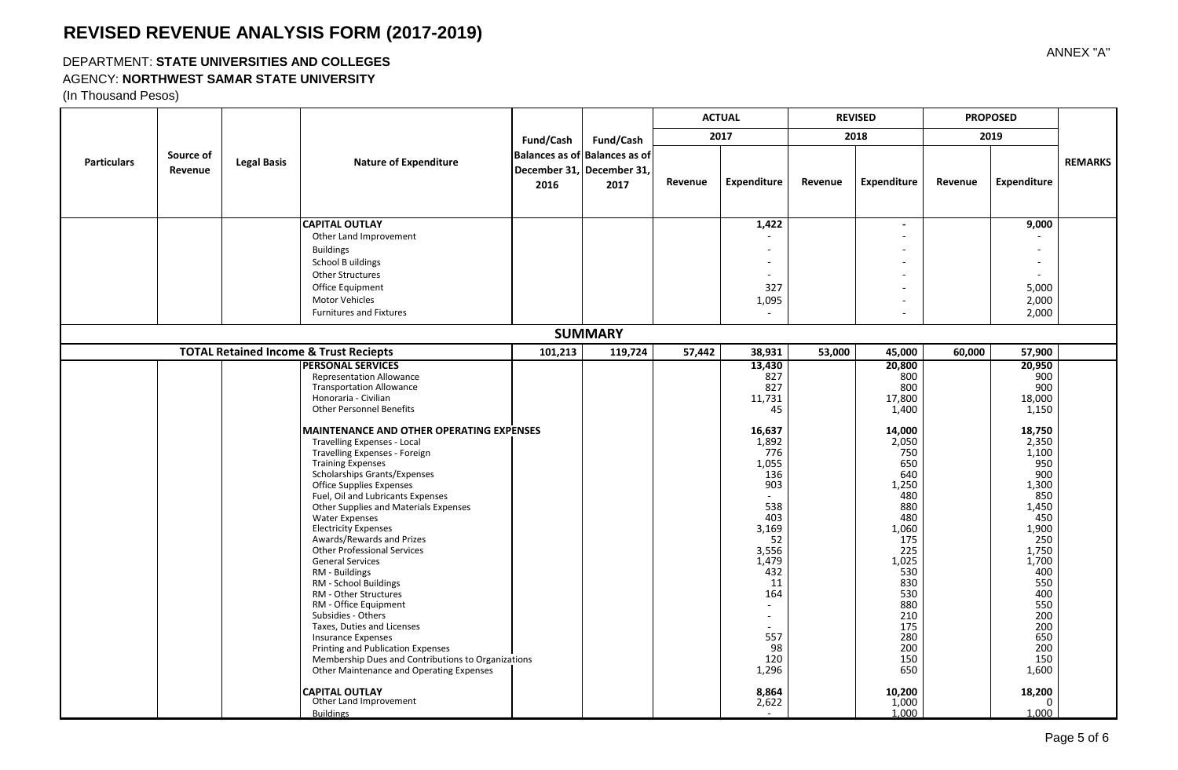### DEPARTMENT: **STATE UNIVERSITIES AND COLLEGES**

#### AGENCY: **NORTHWEST SAMAR STATE UNIVERSITY**

|                    |                      |                    |                                                                                                                                                                                                                                                                                                                                                                                                                                                                                                                                                                                                                                                                                                                                                                                                                             |           |                                                                                 | <b>ACTUAL</b> |                                                                                                                                                                                                            | <b>REVISED</b> |                                                                                                                                                                                                              | <b>PROPOSED</b> |                                                                                                                                                                                                                    |                |
|--------------------|----------------------|--------------------|-----------------------------------------------------------------------------------------------------------------------------------------------------------------------------------------------------------------------------------------------------------------------------------------------------------------------------------------------------------------------------------------------------------------------------------------------------------------------------------------------------------------------------------------------------------------------------------------------------------------------------------------------------------------------------------------------------------------------------------------------------------------------------------------------------------------------------|-----------|---------------------------------------------------------------------------------|---------------|------------------------------------------------------------------------------------------------------------------------------------------------------------------------------------------------------------|----------------|--------------------------------------------------------------------------------------------------------------------------------------------------------------------------------------------------------------|-----------------|--------------------------------------------------------------------------------------------------------------------------------------------------------------------------------------------------------------------|----------------|
|                    |                      |                    |                                                                                                                                                                                                                                                                                                                                                                                                                                                                                                                                                                                                                                                                                                                                                                                                                             | Fund/Cash | Fund/Cash<br>Balances as of Balances as of<br>December 31, December 31,<br>2017 | 2017          |                                                                                                                                                                                                            |                | 2018                                                                                                                                                                                                         |                 | 2019                                                                                                                                                                                                               |                |
| <b>Particulars</b> | Source of<br>Revenue | <b>Legal Basis</b> | <b>Nature of Expenditure</b>                                                                                                                                                                                                                                                                                                                                                                                                                                                                                                                                                                                                                                                                                                                                                                                                | 2016      |                                                                                 | Revenue       | Expenditure                                                                                                                                                                                                | Revenue        | Expenditure                                                                                                                                                                                                  | Revenue         | <b>Expenditure</b>                                                                                                                                                                                                 | <b>REMARKS</b> |
|                    |                      |                    | <b>CAPITAL OUTLAY</b><br>Other Land Improvement<br><b>Buildings</b><br>School B uildings<br><b>Other Structures</b><br>Office Equipment<br>Motor Vehicles<br><b>Furnitures and Fixtures</b>                                                                                                                                                                                                                                                                                                                                                                                                                                                                                                                                                                                                                                 |           |                                                                                 |               | 1,422<br>$\overline{\phantom{a}}$<br>327<br>1,095                                                                                                                                                          |                |                                                                                                                                                                                                              |                 | 9,000<br>$\overline{\phantom{a}}$<br>5,000<br>2,000<br>2,000                                                                                                                                                       |                |
|                    |                      |                    |                                                                                                                                                                                                                                                                                                                                                                                                                                                                                                                                                                                                                                                                                                                                                                                                                             |           | <b>SUMMARY</b>                                                                  |               |                                                                                                                                                                                                            |                |                                                                                                                                                                                                              |                 |                                                                                                                                                                                                                    |                |
|                    |                      |                    | <b>TOTAL Retained Income &amp; Trust Reciepts</b>                                                                                                                                                                                                                                                                                                                                                                                                                                                                                                                                                                                                                                                                                                                                                                           | 101,213   | 119,724                                                                         | 57,442        | 38,931                                                                                                                                                                                                     | 53.000         | 45.000                                                                                                                                                                                                       | 60,000          | 57,900                                                                                                                                                                                                             |                |
|                    |                      |                    | <b>PERSONAL SERVICES</b><br><b>Representation Allowance</b><br><b>Transportation Allowance</b><br>Honoraria - Civilian<br><b>Other Personnel Benefits</b><br><b>MAINTENANCE AND OTHER OPERATING EXPENSES</b><br>Travelling Expenses - Local<br>Travelling Expenses - Foreign<br><b>Training Expenses</b><br>Scholarships Grants/Expenses<br>Office Supplies Expenses<br>Fuel, Oil and Lubricants Expenses<br>Other Supplies and Materials Expenses<br><b>Water Expenses</b><br><b>Electricity Expenses</b><br>Awards/Rewards and Prizes<br><b>Other Professional Services</b><br><b>General Services</b><br>RM - Buildings<br>RM - School Buildings<br>RM - Other Structures<br>RM - Office Equipment<br>Subsidies - Others<br>Taxes, Duties and Licenses<br><b>Insurance Expenses</b><br>Printing and Publication Expenses |           |                                                                                 |               | 13,430<br>827<br>827<br>11,731<br>45<br>16,637<br>1,892<br>776<br>1,055<br>136<br>903<br>538<br>403<br>3,169<br>52<br>3,556<br>1,479<br>432<br>11<br>164<br>$\sim$<br>$\sim$<br>$\sim$<br>557<br>98<br>120 |                | 20,800<br>800<br>800<br>17,800<br>1,400<br>14,000<br>2,050<br>750<br>650<br>640<br>1,250<br>480<br>880<br>480<br>1,060<br>175<br>225<br>1,025<br>530<br>830<br>530<br>880<br>210<br>175<br>280<br>200<br>150 |                 | 20,950<br>900<br>900<br>18,000<br>1,150<br>18,750<br>2,350<br>1,100<br>950<br>900<br>1,300<br>850<br>1,450<br>450<br>1,900<br>250<br>1,750<br>1,700<br>400<br>550<br>400<br>550<br>200<br>200<br>650<br>200<br>150 |                |
|                    |                      |                    | Membership Dues and Contributions to Organizations<br>Other Maintenance and Operating Expenses<br><b>CAPITAL OUTLAY</b><br>Other Land Improvement<br><b>Buildings</b>                                                                                                                                                                                                                                                                                                                                                                                                                                                                                                                                                                                                                                                       |           |                                                                                 |               | 1,296<br>8,864<br>2,622                                                                                                                                                                                    |                | 650<br>10,200<br>1,000<br>1.000                                                                                                                                                                              |                 | 1,600<br>18,200<br>$\mathbf 0$<br>1.000                                                                                                                                                                            |                |